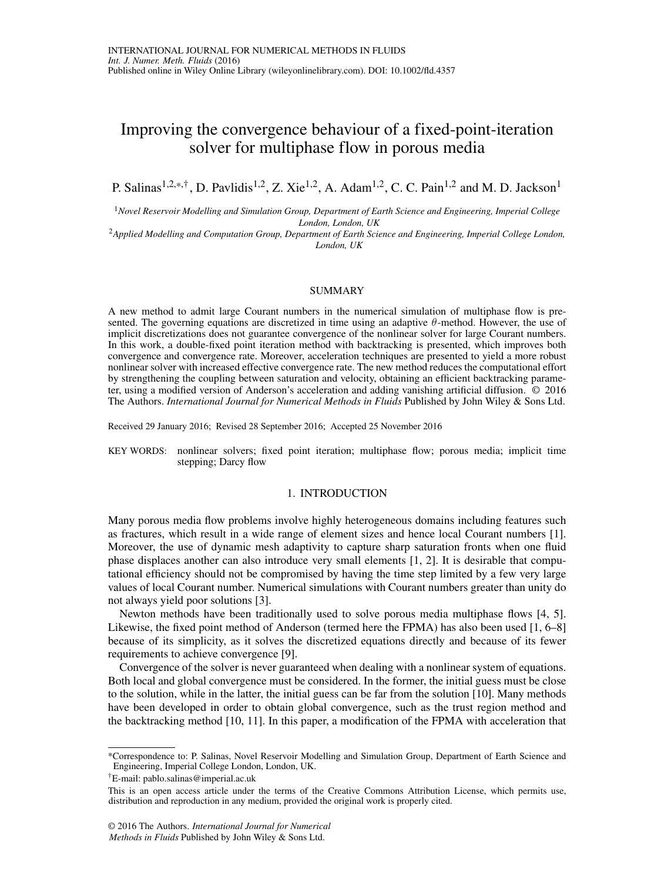# Improving the convergence behaviour of a fixed-point-iteration solver for multiphase flow in porous media

P. Salinas<sup>1,2,\*,†</sup>, D. Pavlidis<sup>1,2</sup>, Z. Xie<sup>1,2</sup>, A. Adam<sup>1,2</sup>, C. C. Pain<sup>1,2</sup> and M. D. Jackson<sup>1</sup>

<sup>1</sup>*Novel Reservoir Modelling and Simulation Group, Department of Earth Science and Engineering, Imperial College London, London, UK*

<sup>2</sup>*Applied Modelling and Computation Group, Department of Earth Science and Engineering, Imperial College London, London, UK*

#### SUMMARY

A new method to admit large Courant numbers in the numerical simulation of multiphase flow is presented. The governing equations are discretized in time using an adaptive  $\theta$ -method. However, the use of implicit discretizations does not guarantee convergence of the nonlinear solver for large Courant numbers. In this work, a double-fixed point iteration method with backtracking is presented, which improves both convergence and convergence rate. Moreover, acceleration techniques are presented to yield a more robust nonlinear solver with increased effective convergence rate. The new method reduces the computational effort by strengthening the coupling between saturation and velocity, obtaining an efficient backtracking parameter, using a modified version of Anderson's acceleration and adding vanishing artificial diffusion. © 2016 The Authors. *International Journal for Numerical Methods in Fluids* Published by John Wiley & Sons Ltd.

Received 29 January 2016; Revised 28 September 2016; Accepted 25 November 2016

KEY WORDS: nonlinear solvers; fixed point iteration; multiphase flow; porous media; implicit time stepping; Darcy flow

# 1. INTRODUCTION

Many porous media flow problems involve highly heterogeneous domains including features such as fractures, which result in a wide range of element sizes and hence local Courant numbers [\[1\]](#page-10-0). Moreover, the use of dynamic mesh adaptivity to capture sharp saturation fronts when one fluid phase displaces another can also introduce very small elements [\[1,](#page-10-0) [2\]](#page-10-1). It is desirable that computational efficiency should not be compromised by having the time step limited by a few very large values of local Courant number. Numerical simulations with Courant numbers greater than unity do not always yield poor solutions [\[3\]](#page-10-2).

Newton methods have been traditionally used to solve porous media multiphase flows [\[4,](#page-10-3) [5\]](#page-10-4). Likewise, the fixed point method of Anderson (termed here the FPMA) has also been used [\[1,](#page-10-0) [6](#page-10-5)[–8\]](#page-10-6) because of its simplicity, as it solves the discretized equations directly and because of its fewer requirements to achieve convergence [\[9\]](#page-10-7).

Convergence of the solver is never guaranteed when dealing with a nonlinear system of equations. Both local and global convergence must be considered. In the former, the initial guess must be close to the solution, while in the latter, the initial guess can be far from the solution [\[10\]](#page-10-8). Many methods have been developed in order to obtain global convergence, such as the trust region method and the backtracking method [\[10,](#page-10-8) [11\]](#page-10-9). In this paper, a modification of the FPMA with acceleration that

<sup>\*</sup>Correspondence to: P. Salinas, Novel Reservoir Modelling and Simulation Group, Department of Earth Science and Engineering, Imperial College London, London, UK.

<sup>†</sup>E-mail: pablo.salinas@imperial.ac.uk

This is an open access article under the terms of the [Creative Commons Attribution](http://creativecommons.org/licenses/by/3.0/) License, which permits use, distribution and reproduction in any medium, provided the original work is properly cited.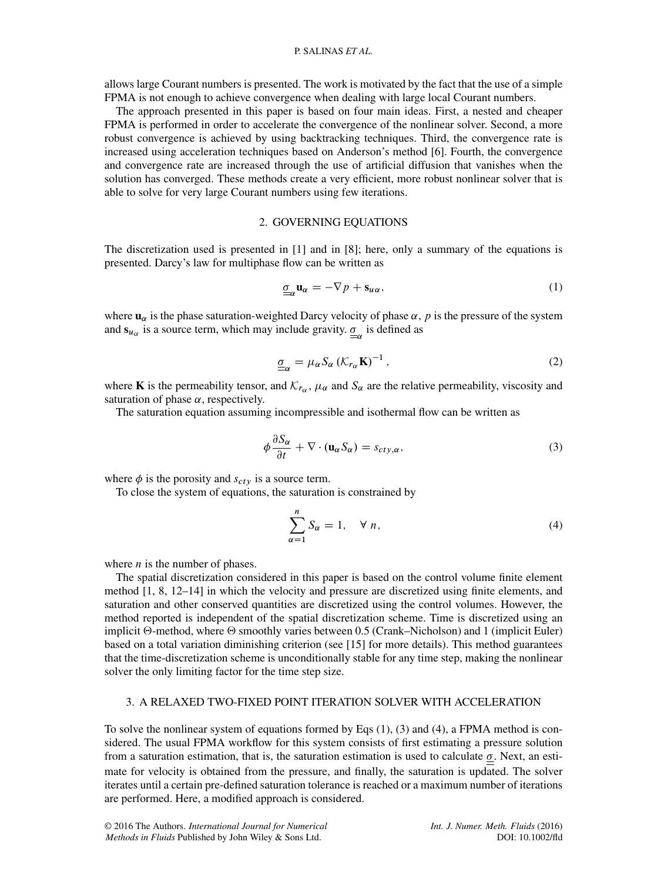# P. SALINAS *ET AL*.

allows large Courant numbers is presented. The work is motivated by the fact that the use of a simple FPMA is not enough to achieve convergence when dealing with large local Courant numbers.

The approach presented in this paper is based on four main ideas. First, a nested and cheaper FPMA is performed in order to accelerate the convergence of the nonlinear solver. Second, a more robust convergence is achieved by using backtracking techniques. Third, the convergence rate is increased using acceleration techniques based on Anderson's method [\[6\]](#page-10-5). Fourth, the convergence and convergence rate are increased through the use of artificial diffusion that vanishes when the solution has converged. These methods create a very efficient, more robust nonlinear solver that is able to solve for very large Courant numbers using few iterations.

# 2. GOVERNING EQUATIONS

The discretization used is presented in [\[1\]](#page-10-0) and in [\[8\]](#page-10-6); here, only a summary of the equations is presented. Darcy's law for multiphase flow can be written as

<span id="page-1-0"></span>
$$
\underline{\sigma}_{\alpha} \mathbf{u}_{\alpha} = -\nabla p + \mathbf{s}_{u\alpha},\tag{1}
$$

where  $\mathbf{u}_{\alpha}$  is the phase saturation-weighted Darcy velocity of phase  $\alpha$ , p is the pressure of the system and  $s_{u_\alpha}$  is a source term, which may include gravity.  $\sigma_{\alpha}$  is defined as

$$
\underline{\sigma}_{\alpha} = \mu_{\alpha} S_{\alpha} \left( \mathcal{K}_{r_{\alpha}} \mathbf{K} \right)^{-1}, \tag{2}
$$

where **K** is the permeability tensor, and  $K_{r_\alpha}$ ,  $\mu_\alpha$  and  $S_\alpha$  are the relative permeability, viscosity and saturation of phase  $\alpha$ , respectively.

The saturation equation assuming incompressible and isothermal flow can be written as

<span id="page-1-1"></span>
$$
\phi \frac{\partial S_{\alpha}}{\partial t} + \nabla \cdot (\mathbf{u}_{\alpha} S_{\alpha}) = s_{cty,\alpha}, \qquad (3)
$$

where  $\phi$  is the porosity and  $s_{cty}$  is a source term.

To close the system of equations, the saturation is constrained by

<span id="page-1-2"></span>
$$
\sum_{\alpha=1}^{n} S_{\alpha} = 1, \quad \forall n,
$$
\n(4)

where  $n$  is the number of phases.

The spatial discretization considered in this paper is based on the control volume finite element method [\[1,](#page-10-0) [8,](#page-10-6) [12–](#page-10-10)[14\]](#page-10-11) in which the velocity and pressure are discretized using finite elements, and saturation and other conserved quantities are discretized using the control volumes. However, the method reported is independent of the spatial discretization scheme. Time is discretized using an implicit  $\Theta$ -method, where  $\Theta$  smoothly varies between 0.5 (Crank–Nicholson) and 1 (implicit Euler) based on a total variation diminishing criterion (see [\[15\]](#page-10-12) for more details). This method guarantees that the time-discretization scheme is unconditionally stable for any time step, making the nonlinear solver the only limiting factor for the time step size.

# 3. A RELAXED TWO-FIXED POINT ITERATION SOLVER WITH ACCELERATION

To solve the nonlinear system of equations formed by Eqs [\(1\)](#page-1-0), [\(3\)](#page-1-1) and [\(4\)](#page-1-2), a FPMA method is considered. The usual FPMA workflow for this system consists of first estimating a pressure solution from a saturation estimation, that is, the saturation estimation is used to calculate  $\sigma$ . Next, an estimate for velocity is obtained from the pressure, and finally, the saturation is updated. The solver iterates until a certain pre-defined saturation tolerance is reached or a maximum number of iterations are performed. Here, a modified approach is considered.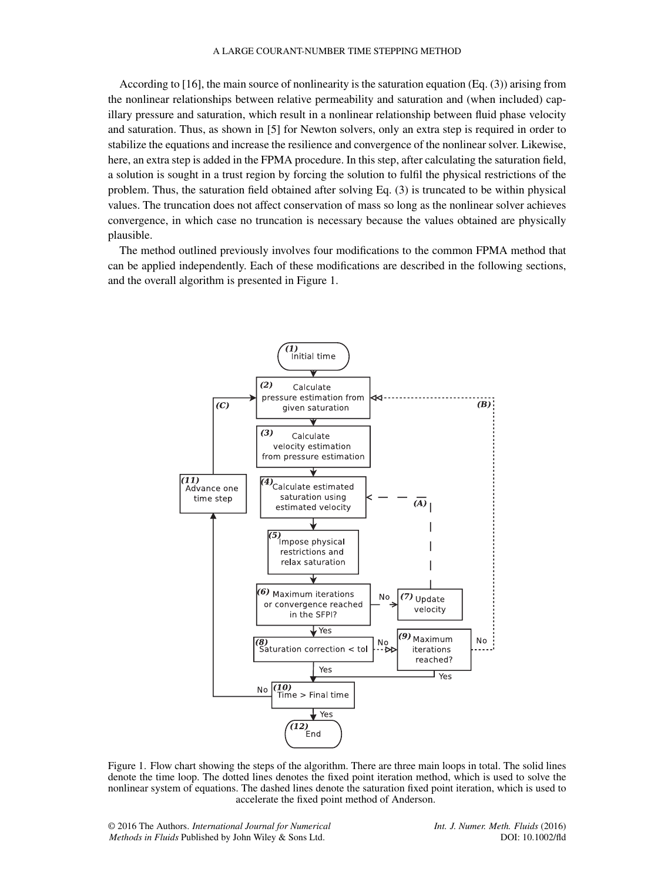According to [\[16\]](#page-10-13), the main source of nonlinearity is the saturation equation (Eq. [\(3\)](#page-1-1)) arising from the nonlinear relationships between relative permeability and saturation and (when included) capillary pressure and saturation, which result in a nonlinear relationship between fluid phase velocity and saturation. Thus, as shown in [\[5\]](#page-10-4) for Newton solvers, only an extra step is required in order to stabilize the equations and increase the resilience and convergence of the nonlinear solver. Likewise, here, an extra step is added in the FPMA procedure. In this step, after calculating the saturation field, a solution is sought in a trust region by forcing the solution to fulfil the physical restrictions of the problem. Thus, the saturation field obtained after solving Eq. [\(3\)](#page-1-1) is truncated to be within physical values. The truncation does not affect conservation of mass so long as the nonlinear solver achieves convergence, in which case no truncation is necessary because the values obtained are physically plausible.

The method outlined previously involves four modifications to the common FPMA method that can be applied independently. Each of these modifications are described in the following sections, and the overall algorithm is presented in Figure [1.](#page-2-0)



<span id="page-2-0"></span>Figure 1. Flow chart showing the steps of the algorithm. There are three main loops in total. The solid lines denote the time loop. The dotted lines denotes the fixed point iteration method, which is used to solve the nonlinear system of equations. The dashed lines denote the saturation fixed point iteration, which is used to accelerate the fixed point method of Anderson.

© 2016 The Authors. *International Journal for Numerical Methods in Fluids* Published by John Wiley & Sons Ltd.

*Int. J. Numer. Meth. Fluids* (2016) DOI: 10.1002/fld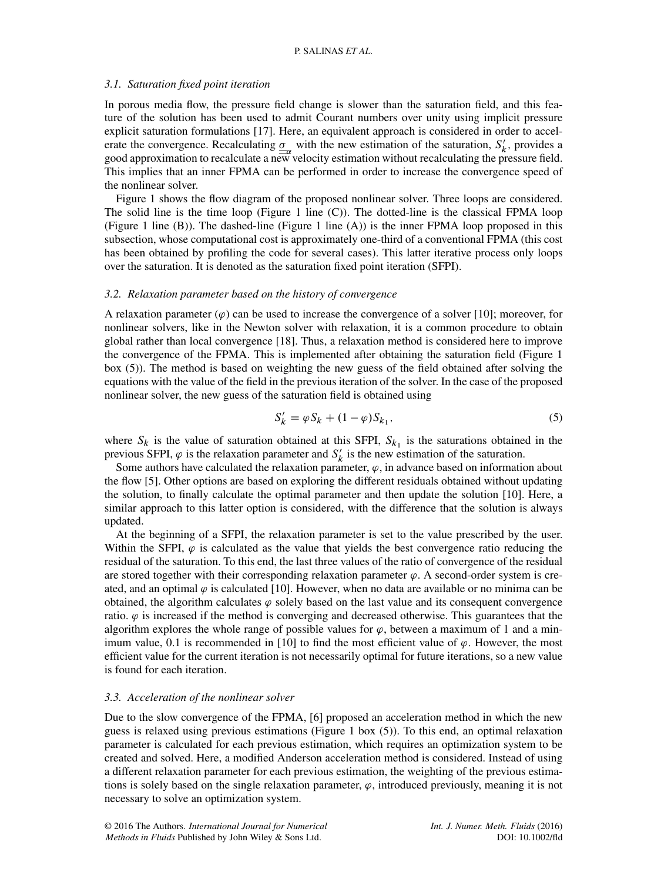# P. SALINAS *ET AL*.

#### *3.1. Saturation fixed point iteration*

In porous media flow, the pressure field change is slower than the saturation field, and this feature of the solution has been used to admit Courant numbers over unity using implicit pressure explicit saturation formulations [\[17\]](#page-10-14). Here, an equivalent approach is considered in order to accelerate the convergence. Recalculating  $\underline{\sigma}_{\alpha}$  with the new estimation of the saturation,  $S'_k$ , provides a good approximation to recalculate a new velocity estimation without recalculating the pressure field. This implies that an inner FPMA can be performed in order to increase the convergence speed of the nonlinear solver.

Figure [1](#page-2-0) shows the flow diagram of the proposed nonlinear solver. Three loops are considered. The solid line is the time loop (Figure [1](#page-2-0) line (C)). The dotted-line is the classical FPMA loop (Figure [1](#page-2-0) line (B)). The dashed-line (Figure [1](#page-2-0) line (A)) is the inner FPMA loop proposed in this subsection, whose computational cost is approximately one-third of a conventional FPMA (this cost has been obtained by profiling the code for several cases). This latter iterative process only loops over the saturation. It is denoted as the saturation fixed point iteration (SFPI).

#### *3.2. Relaxation parameter based on the history of convergence*

A relaxation parameter  $(\varphi)$  can be used to increase the convergence of a solver [\[10\]](#page-10-8); moreover, for nonlinear solvers, like in the Newton solver with relaxation, it is a common procedure to obtain global rather than local convergence [\[18\]](#page-10-15). Thus, a relaxation method is considered here to improve the convergence of the FPMA. This is implemented after obtaining the saturation field (Figure [1](#page-2-0) box (5)). The method is based on weighting the new guess of the field obtained after solving the equations with the value of the field in the previous iteration of the solver. In the case of the proposed nonlinear solver, the new guess of the saturation field is obtained using

<span id="page-3-0"></span>
$$
S'_k = \varphi S_k + (1 - \varphi) S_{k_1},\tag{5}
$$

where  $S_k$  is the value of saturation obtained at this SFPI,  $S_{k_1}$  is the saturations obtained in the previous SFPI,  $\varphi$  is the relaxation parameter and  $S'_k$  is the new estimation of the saturation.

Some authors have calculated the relaxation parameter,  $\varphi$ , in advance based on information about the flow [\[5\]](#page-10-4). Other options are based on exploring the different residuals obtained without updating the solution, to finally calculate the optimal parameter and then update the solution [\[10\]](#page-10-8). Here, a similar approach to this latter option is considered, with the difference that the solution is always updated.

At the beginning of a SFPI, the relaxation parameter is set to the value prescribed by the user. Within the SFPI,  $\varphi$  is calculated as the value that yields the best convergence ratio reducing the residual of the saturation. To this end, the last three values of the ratio of convergence of the residual are stored together with their corresponding relaxation parameter  $\varphi$ . A second-order system is created, and an optimal  $\varphi$  is calculated [\[10\]](#page-10-8). However, when no data are available or no minima can be obtained, the algorithm calculates  $\varphi$  solely based on the last value and its consequent convergence ratio.  $\varphi$  is increased if the method is converging and decreased otherwise. This guarantees that the algorithm explores the whole range of possible values for  $\varphi$ , between a maximum of 1 and a min-imum value, 0.1 is recommended in [\[10\]](#page-10-8) to find the most efficient value of  $\varphi$ . However, the most efficient value for the current iteration is not necessarily optimal for future iterations, so a new value is found for each iteration.

#### *3.3. Acceleration of the nonlinear solver*

Due to the slow convergence of the FPMA, [\[6\]](#page-10-5) proposed an acceleration method in which the new guess is relaxed using previous estimations (Figure [1](#page-2-0) box (5)). To this end, an optimal relaxation parameter is calculated for each previous estimation, which requires an optimization system to be created and solved. Here, a modified Anderson acceleration method is considered. Instead of using a different relaxation parameter for each previous estimation, the weighting of the previous estimations is solely based on the single relaxation parameter,  $\varphi$ , introduced previously, meaning it is not necessary to solve an optimization system.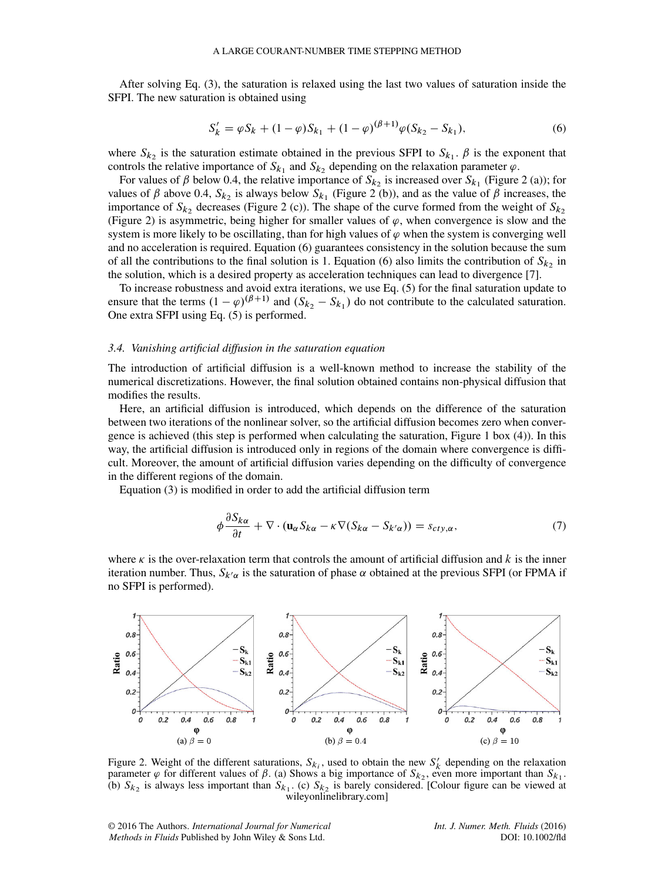After solving Eq. [\(3\)](#page-1-1), the saturation is relaxed using the last two values of saturation inside the SFPI. The new saturation is obtained using

<span id="page-4-1"></span>
$$
S'_k = \varphi S_k + (1 - \varphi) S_{k_1} + (1 - \varphi)^{(\beta + 1)} \varphi (S_{k_2} - S_{k_1}),
$$
\n(6)

where  $S_{k_2}$  is the saturation estimate obtained in the previous SFPI to  $S_{k_1}$ .  $\beta$  is the exponent that controls the relative importance of  $S_{k_1}$  and  $S_{k_2}$  depending on the relaxation parameter  $\varphi$ .

For values of  $\beta$  below 0.4, the relative importance of  $S_{k_2}$  is increased over  $S_{k_1}$  (Figure [2](#page-4-0) (a)); for values of  $\beta$  above 0.4,  $S_{k_2}$  is always below  $S_{k_1}$  (Figure [2](#page-4-0) (b)), and as the value of  $\beta$  increases, the importance of  $S_{k_2}$  decreases (Figure [2](#page-4-0) (c)). The shape of the curve formed from the weight of  $S_{k_2}$ (Figure [2\)](#page-4-0) is asymmetric, being higher for smaller values of  $\varphi$ , when convergence is slow and the system is more likely to be oscillating, than for high values of  $\varphi$  when the system is converging well and no acceleration is required. Equation [\(6\)](#page-4-1) guarantees consistency in the solution because the sum of all the contributions to the final solution is 1. Equation [\(6\)](#page-4-1) also limits the contribution of  $S_{k_2}$  in the solution, which is a desired property as acceleration techniques can lead to divergence [\[7\]](#page-10-16).

To increase robustness and avoid extra iterations, we use Eq. [\(5\)](#page-3-0) for the final saturation update to ensure that the terms  $(1 - \varphi)^{(\beta + 1)}$  and  $(S_{k_2} - S_{k_1})$  do not contribute to the calculated saturation. One extra SFPI using Eq. [\(5\)](#page-3-0) is performed.

#### *3.4. Vanishing artificial diffusion in the saturation equation*

The introduction of artificial diffusion is a well-known method to increase the stability of the numerical discretizations. However, the final solution obtained contains non-physical diffusion that modifies the results.

Here, an artificial diffusion is introduced, which depends on the difference of the saturation between two iterations of the nonlinear solver, so the artificial diffusion becomes zero when convergence is achieved (this step is performed when calculating the saturation, Figure [1](#page-2-0) box (4)). In this way, the artificial diffusion is introduced only in regions of the domain where convergence is difficult. Moreover, the amount of artificial diffusion varies depending on the difficulty of convergence in the different regions of the domain.

Equation [\(3\)](#page-1-1) is modified in order to add the artificial diffusion term

<span id="page-4-2"></span>
$$
\phi \frac{\partial S_{k\alpha}}{\partial t} + \nabla \cdot (\mathbf{u}_{\alpha} S_{k\alpha} - \kappa \nabla (S_{k\alpha} - S_{k'\alpha})) = s_{cty,\alpha},\tag{7}
$$

where  $\kappa$  is the over-relaxation term that controls the amount of artificial diffusion and k is the inner iteration number. Thus,  $S_{k'\alpha}$  is the saturation of phase  $\alpha$  obtained at the previous SFPI (or FPMA if no SFPI is performed).



<span id="page-4-0"></span>Figure 2. Weight of the different saturations,  $S_{k_i}$ , used to obtain the new  $S'_k$  depending on the relaxation parameter  $\varphi$  for different values of  $\beta$ . (a) Shows a big importance of  $S_{k_2}$ , even more important than  $S_{k_1}$ . (b)  $S_{k_2}$  is always less important than  $S_{k_1}$ . (c)  $S_{k_2}$  is barely considered. [Colour figure can be viewed at wileyonlinelibrary.com]

© 2016 The Authors. *International Journal for Numerical Methods in Fluids* Published by John Wiley & Sons Ltd.

*Int. J. Numer. Meth. Fluids* (2016) DOI: 10.1002/fld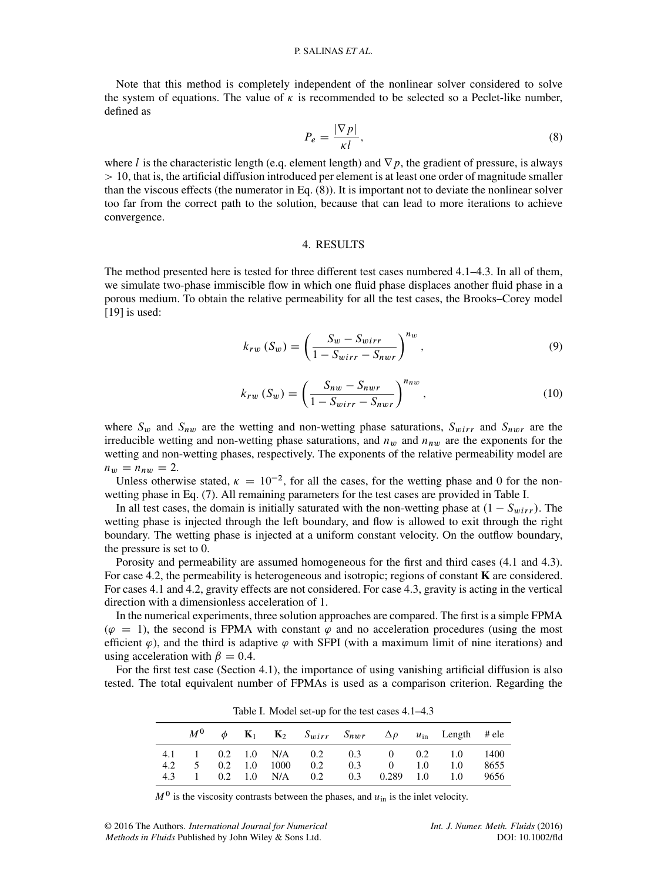Note that this method is completely independent of the nonlinear solver considered to solve the system of equations. The value of  $\kappa$  is recommended to be selected so a Peclet-like number, defined as

<span id="page-5-0"></span>
$$
P_e = \frac{|\nabla p|}{\kappa l},\tag{8}
$$

where l is the characteristic length (e.g. element length) and  $\nabla p$ , the gradient of pressure, is always > 10, that is, the artificial diffusion introduced per element is at least one order of magnitude smaller than the viscous effects (the numerator in Eq. [\(8\)](#page-5-0)). It is important not to deviate the nonlinear solver too far from the correct path to the solution, because that can lead to more iterations to achieve convergence.

# 4. RESULTS

The method presented here is tested for three different test cases numbered [4.1–](#page-7-0)[4.3.](#page-8-0) In all of them, we simulate two-phase immiscible flow in which one fluid phase displaces another fluid phase in a porous medium. To obtain the relative permeability for all the test cases, the Brooks–Corey model [\[19\]](#page-10-17) is used:

$$
k_{rw} (S_w) = \left(\frac{S_w - S_{wirr}}{1 - S_{wirr} - S_{nwr}}\right)^{n_w},\tag{9}
$$

$$
k_{rw} (S_w) = \left(\frac{S_{nw} - S_{nwr}}{1 - S_{wirr} - S_{nwr}}\right)^{n_{nw}},
$$
\n(10)

where  $S_w$  and  $S_{nw}$  are the wetting and non-wetting phase saturations,  $S_{wirr}$  and  $S_{nwr}$  are the irreducible wetting and non-wetting phase saturations, and  $n_w$  and  $n_{nw}$  are the exponents for the wetting and non-wetting phases, respectively. The exponents of the relative permeability model are  $n_w = n_{nw} = 2.$ 

Unless otherwise stated,  $\kappa = 10^{-2}$ , for all the cases, for the wetting phase and 0 for the nonwetting phase in Eq. [\(7\)](#page-4-2). All remaining parameters for the test cases are provided in Table [I.](#page-5-1)

In all test cases, the domain is initially saturated with the non-wetting phase at  $(1 - S_{wirr})$ . The wetting phase is injected through the left boundary, and flow is allowed to exit through the right boundary. The wetting phase is injected at a uniform constant velocity. On the outflow boundary, the pressure is set to 0.

Porosity and permeability are assumed homogeneous for the first and third cases [\(4.1](#page-7-0) and [4.3\)](#page-8-0). For case [4.2,](#page-7-1) the permeability is heterogeneous and isotropic; regions of constant **K** are considered. For cases [4.1](#page-7-0) and [4.2,](#page-7-1) gravity effects are not considered. For case [4.3,](#page-8-0) gravity is acting in the vertical direction with a dimensionless acceleration of 1.

In the numerical experiments, three solution approaches are compared. The first is a simple FPMA ( $\varphi = 1$ ), the second is FPMA with constant  $\varphi$  and no acceleration procedures (using the most efficient  $\varphi$ ), and the third is adaptive  $\varphi$  with SFPI (with a maximum limit of nine iterations) and using acceleration with  $\beta = 0.4$ .

For the first test case (Section [4.1\)](#page-7-0), the importance of using vanishing artificial diffusion is also tested. The total equivalent number of FPMAs is used as a comparison criterion. Regarding the

|     | $M^0$  |  |                            |     |     |                     |               | $\phi$ <b>K</b> <sub>1</sub> <b>K</b> <sub>2</sub> <i>S<sub>wirr</sub> S<sub>nwr</sub></i> $\Delta \rho$ <i>u</i> <sub>in</sub> Length #ele |      |
|-----|--------|--|----------------------------|-----|-----|---------------------|---------------|---------------------------------------------------------------------------------------------------------------------------------------------|------|
|     |        |  |                            |     |     |                     |               | 4.1 1 0.2 1.0 N/A 0.2 0.3 0 0.2 1.0 1400                                                                                                    |      |
| 4.2 | $\sim$ |  | $0.2 \quad 1.0 \quad 1000$ | 0.2 | 0.3 | $\Omega$            | $1.0^{\circ}$ | 1.0                                                                                                                                         | 8655 |
| 4.3 |        |  | $0.2$ 1.0 N/A              | 0.2 |     | $0.3$ $0.289$ $1.0$ |               | 1.0                                                                                                                                         | 9656 |

<span id="page-5-1"></span>Table I. Model set-up for the test cases [4.1](#page-7-0)[–4.3](#page-8-0)

 $M<sup>0</sup>$  is the viscosity contrasts between the phases, and  $u<sub>in</sub>$  is the inlet velocity.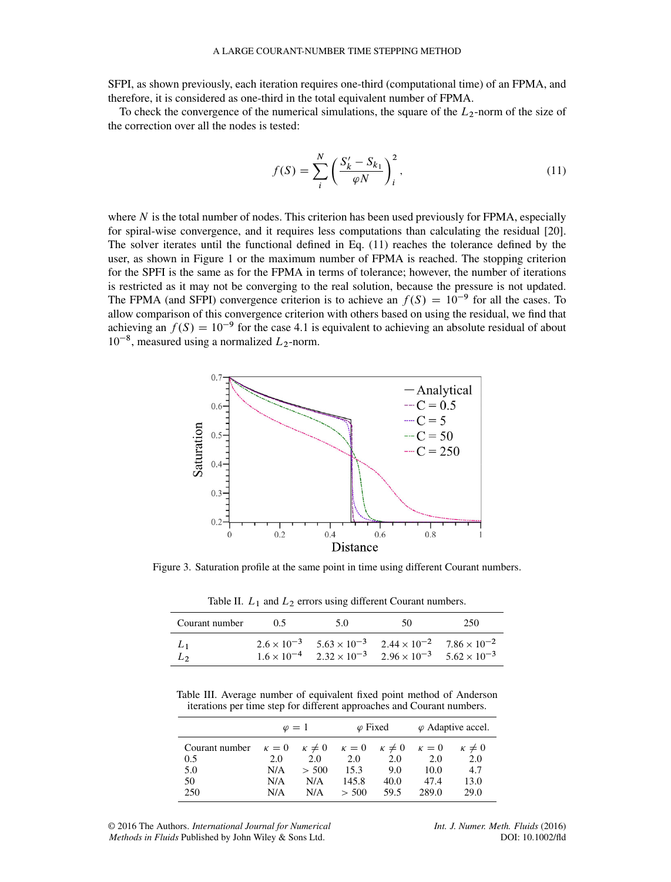#### A LARGE COURANT-NUMBER TIME STEPPING METHOD

SFPI, as shown previously, each iteration requires one-third (computational time) of an FPMA, and therefore, it is considered as one-third in the total equivalent number of FPMA.

To check the convergence of the numerical simulations, the square of the  $L_2$ -norm of the size of the correction over all the nodes is tested:

<span id="page-6-0"></span>
$$
f(S) = \sum_{i}^{N} \left( \frac{S'_{k} - S_{k_1}}{\varphi N} \right)_{i}^{2},
$$
\n(11)

where  $N$  is the total number of nodes. This criterion has been used previously for FPMA, especially for spiral-wise convergence, and it requires less computations than calculating the residual [\[20\]](#page-10-18). The solver iterates until the functional defined in Eq. [\(11\)](#page-6-0) reaches the tolerance defined by the user, as shown in Figure [1](#page-2-0) or the maximum number of FPMA is reached. The stopping criterion for the SPFI is the same as for the FPMA in terms of tolerance; however, the number of iterations is restricted as it may not be converging to the real solution, because the pressure is not updated. The FPMA (and SFPI) convergence criterion is to achieve an  $f(S) = 10^{-9}$  for all the cases. To allow comparison of this convergence criterion with others based on using the residual, we find that achieving an  $f(S) = 10^{-9}$  for the case [4.1](#page-7-0) is equivalent to achieving an absolute residual of about  $10^{-8}$ , measured using a normalized  $L_2$ -norm.



Figure 3. Saturation profile at the same point in time using different Courant numbers.

<span id="page-6-2"></span><span id="page-6-1"></span>Table II.  $L_1$  and  $L_2$  errors using different Courant numbers.

| Courant number            | 0.5 | 5.0 | 50                                                                                                                                                                               | 250 |
|---------------------------|-----|-----|----------------------------------------------------------------------------------------------------------------------------------------------------------------------------------|-----|
| $\perp$<br>L <sub>2</sub> |     |     | $2.6 \times 10^{-3}$ $5.63 \times 10^{-3}$ $2.44 \times 10^{-2}$ $7.86 \times 10^{-2}$<br>$1.6 \times 10^{-4}$ $2.32 \times 10^{-3}$ $2.96 \times 10^{-3}$ $5.62 \times 10^{-3}$ |     |

Table III. Average number of equivalent fixed point method of Anderson iterations per time step for different approaches and Courant numbers.

<span id="page-6-3"></span>

|                                                                                       | $\varphi = 1$ |       | $\varphi$ Fixed |      | $\varphi$ Adaptive accel. |                 |
|---------------------------------------------------------------------------------------|---------------|-------|-----------------|------|---------------------------|-----------------|
| Courant number $\kappa = 0$ $\kappa \neq 0$ $\kappa = 0$ $\kappa \neq 0$ $\kappa = 0$ |               |       |                 |      |                           | $\kappa \neq 0$ |
| 0.5                                                                                   | 2.0           | 2.0   | 2.0             | 2.0  | 2.0                       | 2.0             |
| 5.0                                                                                   | N/A           | > 500 | 15.3            | 9.0  | 10.0                      | 4.7             |
| 50                                                                                    | N/A           | N/A   | 145.8           | 40.0 | 47.4                      | 13.0            |
| 250                                                                                   | N/A           | N/A   | > 500           | 59.5 | 289.0                     | 29.0            |

© 2016 The Authors. *International Journal for Numerical Methods in Fluids* Published by John Wiley & Sons Ltd.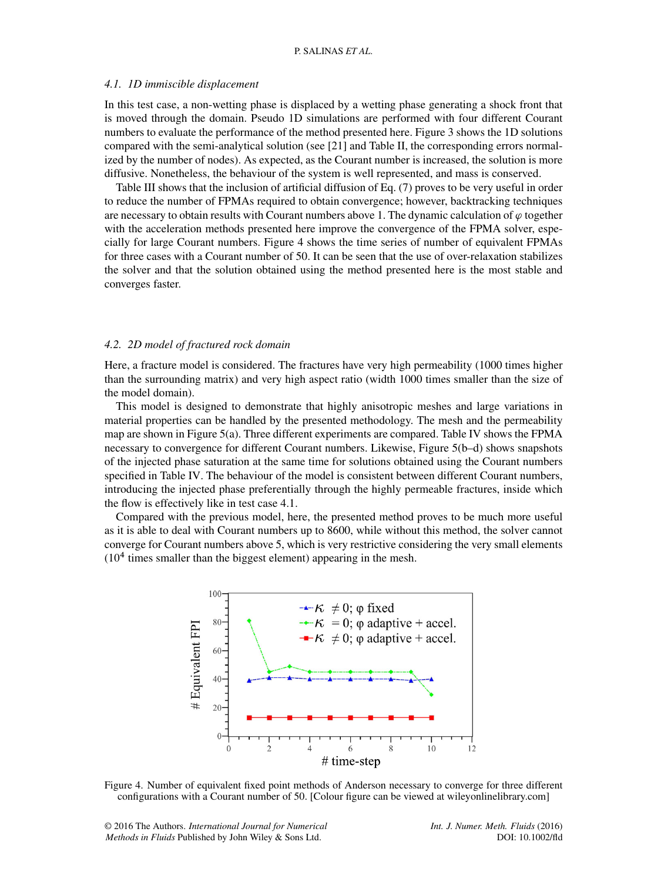# <span id="page-7-0"></span>*4.1. 1D immiscible displacement*

In this test case, a non-wetting phase is displaced by a wetting phase generating a shock front that is moved through the domain. Pseudo 1D simulations are performed with four different Courant numbers to evaluate the performance of the method presented here. Figure [3](#page-6-1) shows the 1D solutions compared with the semi-analytical solution (see [\[21\]](#page-10-19) and Table [II,](#page-6-2) the corresponding errors normalized by the number of nodes). As expected, as the Courant number is increased, the solution is more diffusive. Nonetheless, the behaviour of the system is well represented, and mass is conserved.

Table [III](#page-6-3) shows that the inclusion of artificial diffusion of Eq. [\(7\)](#page-4-2) proves to be very useful in order to reduce the number of FPMAs required to obtain convergence; however, backtracking techniques are necessary to obtain results with Courant numbers above 1. The dynamic calculation of  $\varphi$  together with the acceleration methods presented here improve the convergence of the FPMA solver, especially for large Courant numbers. Figure [4](#page-7-2) shows the time series of number of equivalent FPMAs for three cases with a Courant number of 50. It can be seen that the use of over-relaxation stabilizes the solver and that the solution obtained using the method presented here is the most stable and converges faster.

## <span id="page-7-1"></span>*4.2. 2D model of fractured rock domain*

Here, a fracture model is considered. The fractures have very high permeability (1000 times higher than the surrounding matrix) and very high aspect ratio (width 1000 times smaller than the size of the model domain).

This model is designed to demonstrate that highly anisotropic meshes and large variations in material properties can be handled by the presented methodology. The mesh and the permeability map are shown in Figure [5\(](#page-8-1)a). Three different experiments are compared. Table [IV](#page-8-2) shows the FPMA necessary to convergence for different Courant numbers. Likewise, Figure [5\(](#page-8-1)b–d) shows snapshots of the injected phase saturation at the same time for solutions obtained using the Courant numbers specified in Table [IV.](#page-8-2) The behaviour of the model is consistent between different Courant numbers, introducing the injected phase preferentially through the highly permeable fractures, inside which the flow is effectively like in test case [4.1.](#page-7-0)

Compared with the previous model, here, the presented method proves to be much more useful as it is able to deal with Courant numbers up to 8600, while without this method, the solver cannot converge for Courant numbers above 5, which is very restrictive considering the very small elements  $(10<sup>4</sup>$  times smaller than the biggest element) appearing in the mesh.



<span id="page-7-2"></span>Figure 4. Number of equivalent fixed point methods of Anderson necessary to converge for three different configurations with a Courant number of 50. [Colour figure can be viewed at wileyonlinelibrary.com]

© 2016 The Authors. *International Journal for Numerical Methods in Fluids* Published by John Wiley & Sons Ltd.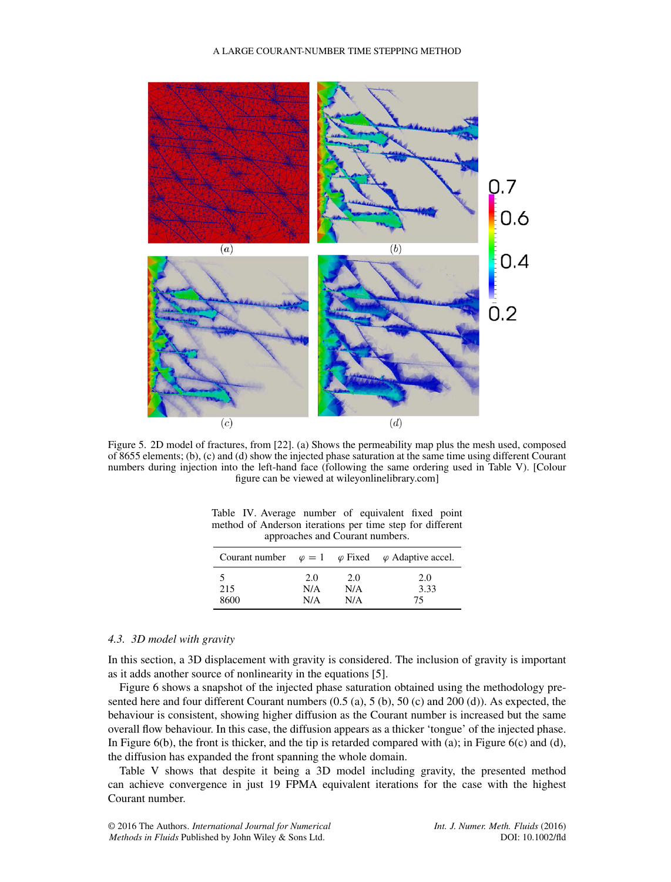

<span id="page-8-1"></span>Figure 5. 2D model of fractures, from [\[22\]](#page-10-20). (a) Shows the permeability map plus the mesh used, composed of 8655 elements; (b), (c) and (d) show the injected phase saturation at the same time using different Courant numbers during injection into the left-hand face (following the same ordering used in Table [V\)](#page-9-0). [Colour figure can be viewed at wileyonlinelibrary.com]

| approaches and Courant numbers. |     |     |                                                                        |  |  |
|---------------------------------|-----|-----|------------------------------------------------------------------------|--|--|
|                                 |     |     | Courant number $\varphi = 1$ $\varphi$ Fixed $\varphi$ Adaptive accel. |  |  |
|                                 | 2.0 | 2.0 | 2.0                                                                    |  |  |
| 215                             | N/A | N/A | 3.33                                                                   |  |  |
| 8600                            | N/A | N/A | 75                                                                     |  |  |

<span id="page-8-2"></span>Table IV. Average number of equivalent fixed point method of Anderson iterations per time step for different approaches and  $C_{\alpha}$ 

# <span id="page-8-0"></span>*4.3. 3D model with gravity*

In this section, a 3D displacement with gravity is considered. The inclusion of gravity is important as it adds another source of nonlinearity in the equations [\[5\]](#page-10-4).

Figure [6](#page-9-1) shows a snapshot of the injected phase saturation obtained using the methodology presented here and four different Courant numbers (0.5 (a), 5 (b), 50 (c) and 200 (d)). As expected, the behaviour is consistent, showing higher diffusion as the Courant number is increased but the same overall flow behaviour. In this case, the diffusion appears as a thicker 'tongue' of the injected phase. In Figure  $6(b)$ , the front is thicker, and the tip is retarded compared with (a); in Figure  $6(c)$  and (d), the diffusion has expanded the front spanning the whole domain.

Table [V](#page-9-0) shows that despite it being a 3D model including gravity, the presented method can achieve convergence in just 19 FPMA equivalent iterations for the case with the highest Courant number.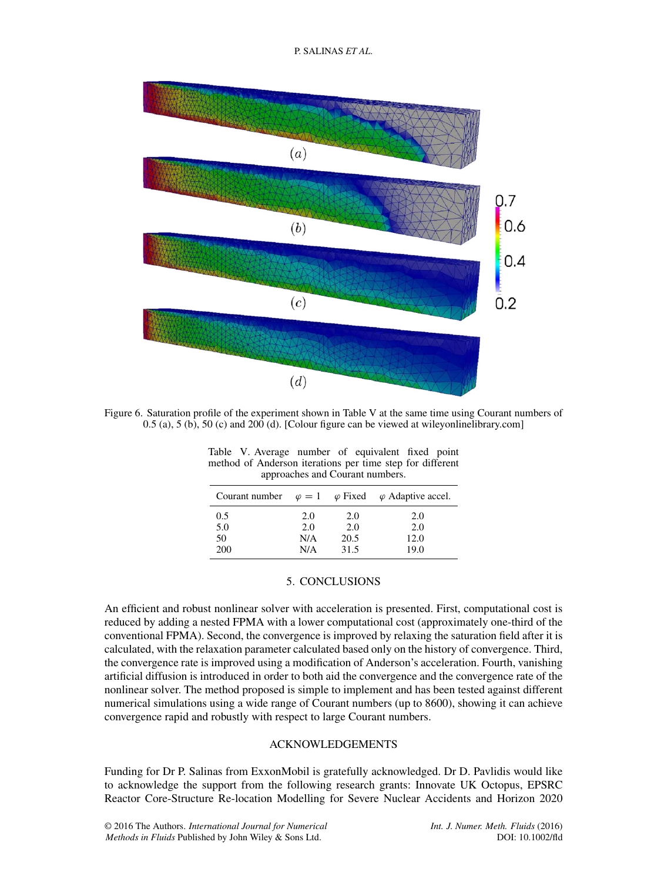P. SALINAS *ET AL*.



<span id="page-9-1"></span>Figure 6. Saturation profile of the experiment shown in Table [V](#page-9-0) at the same time using Courant numbers of  $0.5$  (a),  $5$  (b),  $50$  (c) and  $200$  (d). [Colour figure can be viewed at wileyonlinelibrary.com]

<span id="page-9-0"></span>Table V. Average number of equivalent fixed point method of Anderson iterations per time step for different approaches and Courant numbers.

|     |     |      | Courant number $\varphi = 1$ $\varphi$ Fixed $\varphi$ Adaptive accel. |
|-----|-----|------|------------------------------------------------------------------------|
| 0.5 | 2.0 | 2.0  | 2.0                                                                    |
| 5.0 | 2.0 | 2.0  | 2.0                                                                    |
| 50  | N/A | 20.5 | 12.0                                                                   |
| 200 | N/A | 31.5 | 19.0                                                                   |

# 5. CONCLUSIONS

An efficient and robust nonlinear solver with acceleration is presented. First, computational cost is reduced by adding a nested FPMA with a lower computational cost (approximately one-third of the conventional FPMA). Second, the convergence is improved by relaxing the saturation field after it is calculated, with the relaxation parameter calculated based only on the history of convergence. Third, the convergence rate is improved using a modification of Anderson's acceleration. Fourth, vanishing artificial diffusion is introduced in order to both aid the convergence and the convergence rate of the nonlinear solver. The method proposed is simple to implement and has been tested against different numerical simulations using a wide range of Courant numbers (up to 8600), showing it can achieve convergence rapid and robustly with respect to large Courant numbers.

# ACKNOWLEDGEMENTS

Funding for Dr P. Salinas from ExxonMobil is gratefully acknowledged. Dr D. Pavlidis would like to acknowledge the support from the following research grants: Innovate UK Octopus, EPSRC Reactor Core-Structure Re-location Modelling for Severe Nuclear Accidents and Horizon 2020